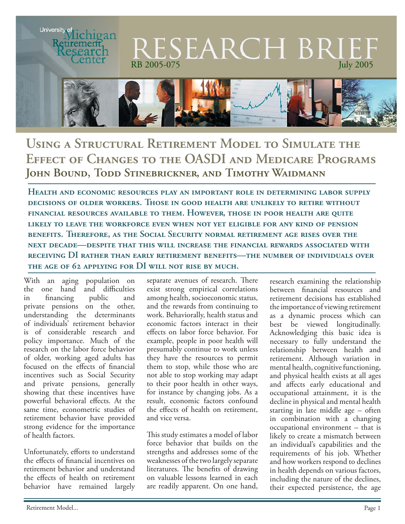

# **Using a Structural Retirement Model to Simulate the Effect of Changes to the OASDI and Medicare Programs John Bound, Todd Stinebrickner, and Timothy Waidmann**

**Health and economic resources play an important role in determining labor supply decisions of older workers. Those in good health are unlikely to retire without financial resources available to them. However, those in poor health are quite likely to leave the workforce even when not yet eligible for any kind of pension benefits. Therefore, as the Social Security normal retirement age rises over the next decade—despite that this will increase the financial rewards associated with receiving DI rather than early retirement benefits—the number of individuals over**  THE AGE OF 62 APPLYING FOR DI WILL NOT RISE BY MUCH.

With an aging population on the one hand and difficulties in financing public and private pensions on the other, understanding the determinants of individuals' retirement behavior is of considerable research and policy importance. Much of the research on the labor force behavior of older, working aged adults has focused on the effects of financial incentives such as Social Security and private pensions, generally showing that these incentives have powerful behavioral effects. At the same time, econometric studies of retirement behavior have provided strong evidence for the importance of health factors.

Unfortunately, efforts to understand the effects of financial incentives on retirement behavior and understand the effects of health on retirement behavior have remained largely

separate avenues of research. There exist strong empirical correlations among health, socioeconomic status, and the rewards from continuing to work. Behaviorally, health status and economic factors interact in their effects on labor force behavior. For example, people in poor health will presumably continue to work unless they have the resources to permit them to stop, while those who are not able to stop working may adapt to their poor health in other ways, for instance by changing jobs. As a result, economic factors confound the effects of health on retirement. and vice versa.

This study estimates a model of labor force behavior that builds on the strengths and addresses some of the weaknesses of the two largely separate literatures. The benefits of drawing on valuable lessons learned in each are readily apparent. On one hand,

research examining the relationship between financial resources and retirement decisions has established the importance of viewing retirement as a dynamic process which can best be viewed longitudinally. Acknowledging this basic idea is necessary to fully understand the relationship between health and retirement. Although variation in mental health, cognitive functioning, and physical health exists at all ages and affects early educational and occupational attainment, it is the decline in physical and mental health starting in late middle age – often in combination with a changing occupational environment – that is likely to create a mismatch between an individual's capabilities and the requirements of his job. Whether and how workers respond to declines in health depends on various factors, including the nature of the declines, their expected persistence, the age